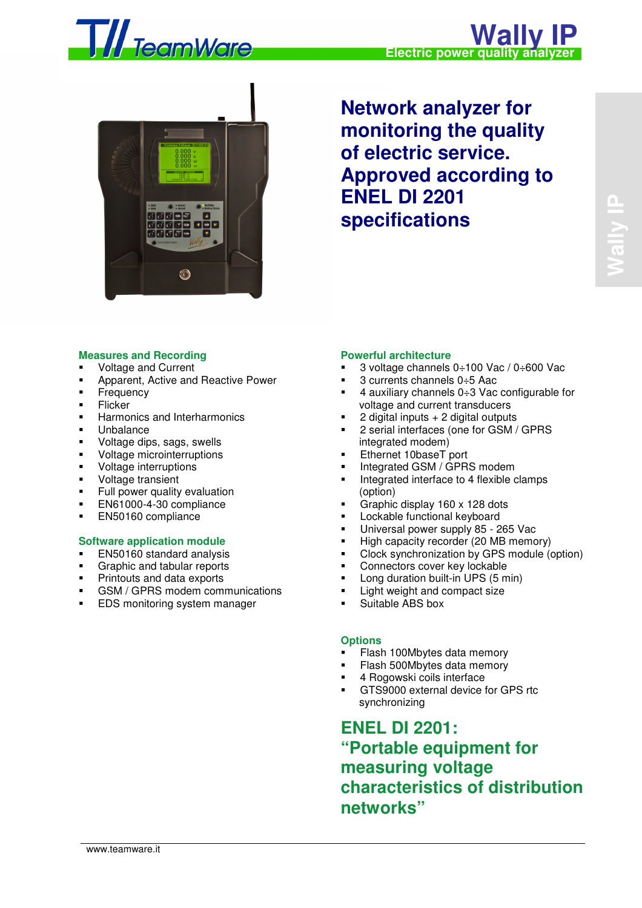



**Network analyzer for monitoring the quality of electric service. Approved according to ENEL DI 2201 specifications** 

## **Measures and Recording**

- Voltage and Current
- Apparent, Active and Reactive Power
- Frequency
- **Flicker**
- **Harmonics and Interharmonics**
- **Unbalance**
- Voltage dips, sags, swells
- Voltage microinterruptions
- Voltage interruptions
- **Voltage transient**
- **Full power quality evaluation**
- **EN61000-4-30 compliance**
- **EN50160 compliance**

#### **Software application module**

- EN50160 standard analysis
- Graphic and tabular reports
- Printouts and data exports
- GSM / GPRS modem communications
- EDS monitoring system manager

## **Powerful architecture**

- 3 voltage channels 0÷100 Vac / 0÷600 Vac
- 3 currents channels 0÷5 Aac
- 4 auxiliary channels 0÷3 Vac configurable for voltage and current transducers
- 2 digital inputs + 2 digital outputs
- 2 serial interfaces (one for GSM / GPRS integrated modem)
- **Ethernet 10baseT** port
- **Integrated GSM / GPRS modem**
- Integrated interface to 4 flexible clamps (option)
- Graphic display 160 x 128 dots
- **Lockable functional keyboard**
- Universal power supply 85 265 Vac
- High capacity recorder (20 MB memory)
- Clock synchronization by GPS module (option)
- Connectors cover key lockable
- Long duration built-in UPS (5 min)
- Light weight and compact size
- Suitable ABS box

#### **Options**

- Flash 100Mbytes data memory
- Flash 500Mbytes data memory
- 4 Rogowski coils interface
- GTS9000 external device for GPS rtc synchronizing

**ENEL DI 2201: "Portable equipment for measuring voltage characteristics of distribution networks"**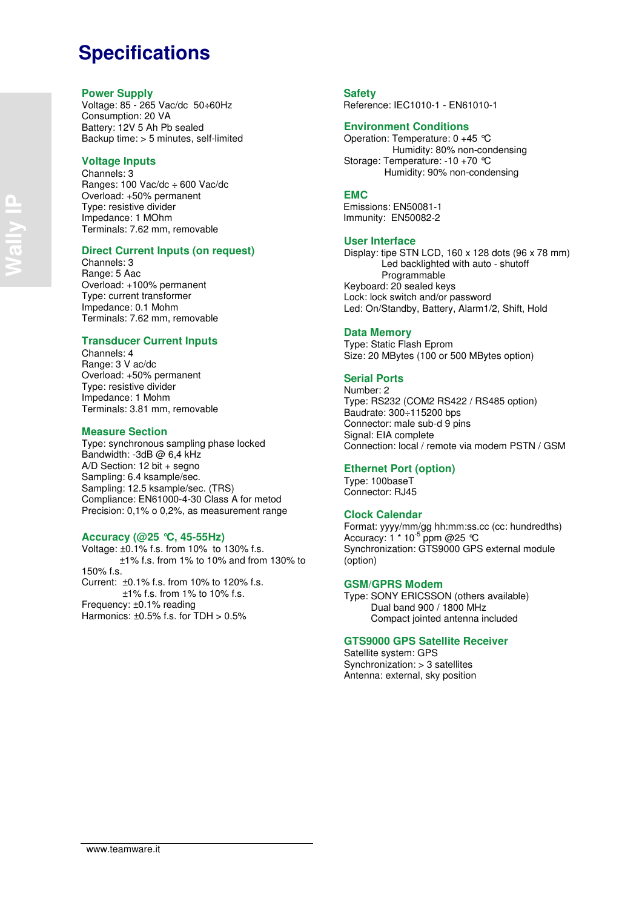## **Specifications**

#### **Power Supply**

Voltage: 85 - 265 Vac/dc 50÷60Hz Consumption: 20 VA Battery: 12V 5 Ah Pb sealed Backup time: > 5 minutes, self-limited

#### **Voltage Inputs**

Channels: 3 Ranges: 100 Vac/dc ÷ 600 Vac/dc Overload: +50% permanent Type: resistive divider Impedance: 1 MOhm Terminals: 7.62 mm, removable

#### **Direct Current Inputs (on request)**

Channels: 3 Range: 5 Aac Overload: +100% permanent Type: current transformer Impedance: 0.1 Mohm Terminals: 7.62 mm, removable

#### **Transducer Current Inputs**

Channels: 4 Range: 3 V ac/dc Overload: +50% permanent Type: resistive divider Impedance: 1 Mohm Terminals: 3.81 mm, removable

#### **Measure Section**

Type: synchronous sampling phase locked Bandwidth: -3dB @ 6,4 kHz A/D Section: 12 bit + segno Sampling: 6.4 ksample/sec. Sampling: 12.5 ksample/sec. (TRS) Compliance: EN61000-4-30 Class A for metod Precision: 0,1% o 0,2%, as measurement range

#### **Accuracy (@25 °C, 45-55Hz)**

Voltage: ±0.1% f.s. from 10% to 130% f.s. ±1% f.s. from 1% to 10% and from 130% to 150% f.s. Current: ±0.1% f.s. from 10% to 120% f.s. ±1% f.s. from 1% to 10% f.s. Frequency: ±0.1% reading Harmonics:  $\pm 0.5\%$  f.s. for TDH  $> 0.5\%$ 

## **Safety**

Reference: IEC1010-1 - EN61010-1

#### **Environment Conditions**

Operation: Temperature: 0 +45 °C Humidity: 80% non-condensing Storage: Temperature: -10 +70 °C Humidity: 90% non-condensing

#### **EMC**

 Emissions: EN50081-1 Immunity: EN50082-2

#### **User Interface**

Display: tipe STN LCD, 160 x 128 dots (96 x 78 mm) Led backlighted with auto - shutoff Programmable Keyboard: 20 sealed keys Lock: lock switch and/or password Led: On/Standby, Battery, Alarm1/2, Shift, Hold

#### **Data Memory**

Type: Static Flash Eprom Size: 20 MBytes (100 or 500 MBytes option)

## **Serial Ports**

Number: 2 Type: RS232 (COM2 RS422 / RS485 option) Baudrate: 300÷115200 bps Connector: male sub-d 9 pins Signal: EIA complete Connection: local / remote via modem PSTN / GSM

#### **Ethernet Port (option)**

Type: 100baseT Connector: RJ45

## **Clock Calendar**

Format: yyyy/mm/gg hh:mm:ss.cc (cc: hundredths)  $\frac{1}{2}$  Accuracy: 1  $*$  10<sup>-5</sup> ppm @25 °C Synchronization: GTS9000 GPS external module (option)

#### **GSM/GPRS Modem**

Type: SONY ERICSSON (others available) Dual band 900 / 1800 MHz Compact jointed antenna included

#### **GTS9000 GPS Satellite Receiver**

Satellite system: GPS Synchronization: > 3 satellites Antenna: external, sky position